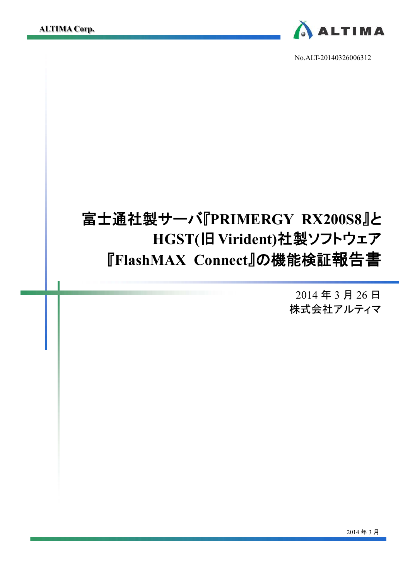

No.ALT-20140326006312

# 富士通社製サーバ『**PRIMERGY RX200S8**』と  **HGST(**旧 **Virident)**社製ソフトウェア 『**FlashMAX Connect**』の機能検証報告書

2014 年 3 月 26 日 株式会社アルティマ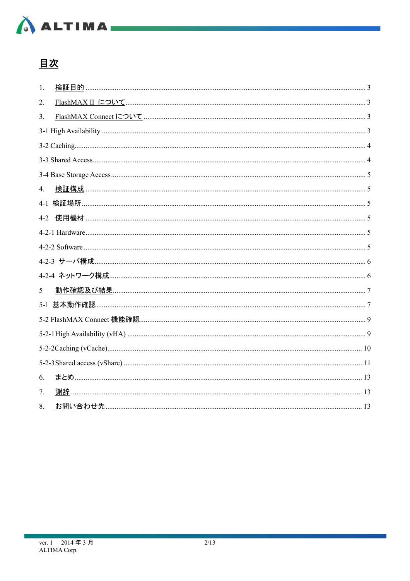

# 且次

| 1.      |  |
|---------|--|
| 2.      |  |
| 3.      |  |
|         |  |
|         |  |
|         |  |
|         |  |
| 4.      |  |
|         |  |
| $4 - 2$ |  |
|         |  |
|         |  |
|         |  |
|         |  |
| 5       |  |
|         |  |
|         |  |
|         |  |
|         |  |
|         |  |
| 6.      |  |
| 7.      |  |
| 8.      |  |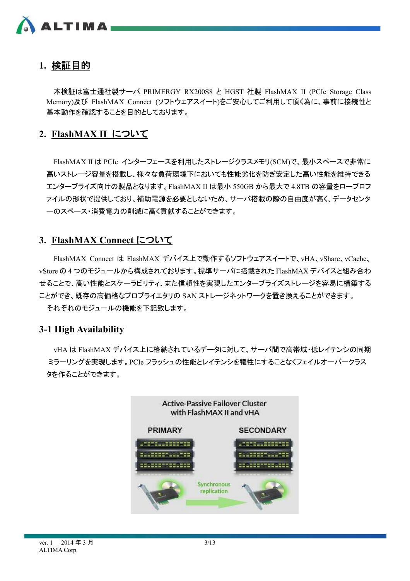

# **1.** 検証目的

本検証は富士通社製サーバ PRIMERGY RX200S8 と HGST 社製 FlashMAX II (PCIe Storage Class Memory)及び FlashMAX Connect (ソフトウェアスイート)をご安心してご利用して頂く為に、事前に接続性と 基本動作を確認することを目的としております。

# **2. FlashMAX II** について

FlashMAX II は PCIe インターフェースを利用したストレージクラスメモリ(SCM)で、最小スペースで非常に 高いストレージ容量を搭載し、様々な負荷環境下においても性能劣化を防ぎ安定した高い性能を維持できる エンタープライズ向けの製品となります。FlashMAX II は最小 550GB から最大で 4.8TB の容量をロープロフ ァイルの形状で提供しており、補助電源を必要としないため、サーバ搭載の際の自由度が高く、データセンタ ーのスペース・消費電力の削減に高く貢献することができます。

# **3. FlashMAX Connect** について

FlashMAX Connect は FlashMAX デバイス上で動作するソフトウェアスイートで、vHA、vShare、vCache、 vStore の 4 つのモジュールから構成されております。標準サーバに搭載された FlashMAX デバイスと組み合わ せることで、高い性能とスケーラビリティ、また信頼性を実現したエンタープライズストレージを容易に構築する ことができ、既存の高価格なプロプライエタリの SAN ストレージネットワークを置き換えることができます。

それぞれのモジュールの機能を下記致します。

### **3-1 High Availability**

vHA は FlashMAX デバイス上に格納されているデータに対して、サーバ間で高帯域・低レイテンシの同期 ミラーリングを実現します。PCIe フラッシュの性能とレイテンシを犠牲にすることなくフェイルオーバークラス タを作ることができます。

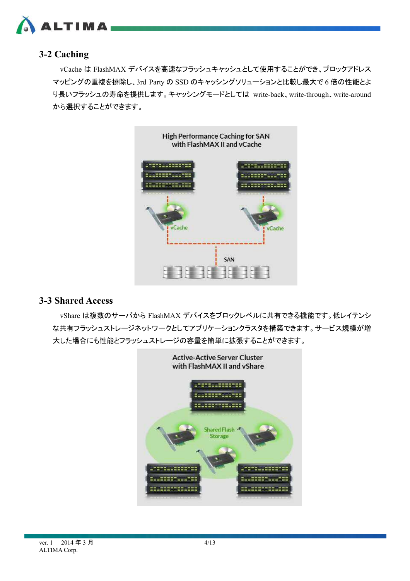

# **3-2 Caching**

vCache は FlashMAX デバイスを高速なフラッシュキャッシュとして使用することができ、ブロックアドレス マッピングの重複を排除し、3rd Party の SSD のキャッシングソリューションと比較し最大で 6 倍の性能とよ り長いフラッシュの寿命を提供します。キャッシングモードとしては write-back、write-through、write-around から選択することができます。



### **3-3 Shared Access**

vShare は複数のサーバから FlashMAX デバイスをブロックレベルに共有できる機能です。低レイテンシ な共有フラッシュストレージネットワークとしてアプリケーションクラスタを構築できます。サービス規模が増 大した場合にも性能とフラッシュストレージの容量を簡単に拡張することができます。

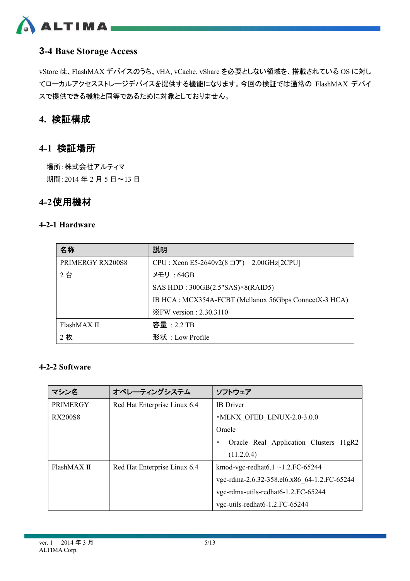

# **3-4 Base Storage Access**

vStore は、FlashMAX デバイスのうち、vHA, vCache, vShare を必要としない領域を、搭載されている OS に対し てローカルアクセスストレージデバイスを提供する機能になります。今回の検証では通常の FlashMAX デバイ スで提供できる機能と同等であるために対象としておりません。

# **4.** 検証構成

### **4-1** 検証場所

場所:株式会社アルティマ 期間:2014 年 2 月 5 日~13 日

# **4-2**使用機材

### **4-2-1 Hardware**

| 名称               | 説明                                                    |
|------------------|-------------------------------------------------------|
| PRIMERGY RX200S8 | $CPU: Xeon E5-2640v2(8 \square) 2.00 GHz[2CPU]$       |
| 2台               | メモリ : 64GB                                            |
|                  | SAS HDD: $300GB(2.5"SAS)\times 8(RAID5)$              |
|                  | IB HCA: MCX354A-FCBT (Mellanox 56Gbps ConnectX-3 HCA) |
|                  | $XFW$ version : 2.30.3110                             |
| FlashMAX II      | 容量: 2.2 TB                                            |
| 2枚               | 形状: Low Profile                                       |

### **4-2-2 Software**

| マシン名                                        | オペレーティングシステム                 | ソフトウェア                                      |  |  |
|---------------------------------------------|------------------------------|---------------------------------------------|--|--|
| <b>PRIMERGY</b>                             | Red Hat Enterprise Linux 6.4 | <b>IB</b> Driver                            |  |  |
| RX200S8                                     |                              | • MLNX OFED LINUX-2.0-3.0.0                 |  |  |
|                                             |                              | Oracle                                      |  |  |
|                                             |                              | Oracle Real Application Clusters 11gR2      |  |  |
|                                             |                              | (11.2.0.4)                                  |  |  |
| FlashMAX II<br>Red Hat Enterprise Linux 6.4 |                              | kmod-vgc-redhat $6.1 + 1.2$ . FC-65244      |  |  |
|                                             |                              | vgc-rdma-2.6.32-358.el6.x86 64-1.2.FC-65244 |  |  |
|                                             |                              | vgc-rdma-utils-redhat6-1.2.FC-65244         |  |  |
|                                             |                              | vgc-utils-redhat 6-1.2. FC-65244            |  |  |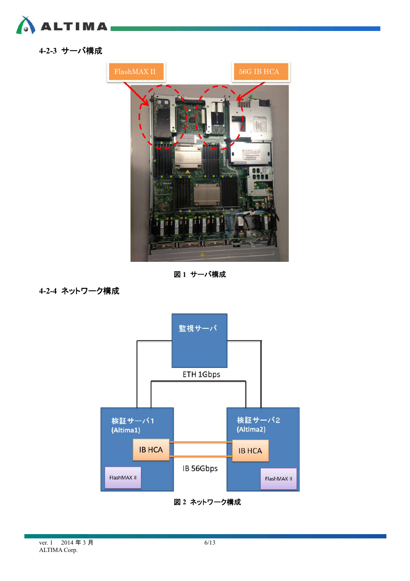

**4-2-3** サーバ構成



図 **1** サーバ構成

**4-2-4** ネットワーク構成



図 **2** ネットワーク構成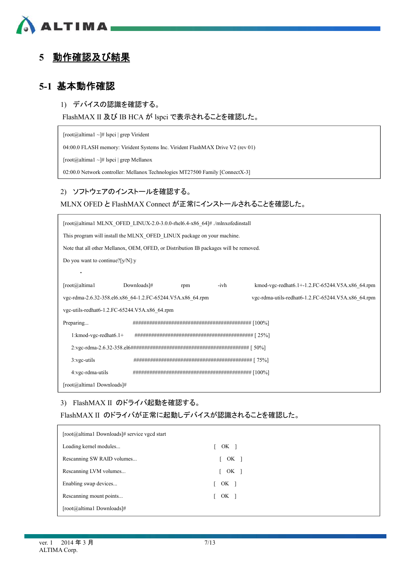

# **5** 動作確認及び結果

# **5-1** 基本動作確認

### 1) デバイスの認識を確認する。

FlashMAX II 及び IB HCA が lspci で表示されることを確認した。

[root@altima1 ~]# lspci | grep Virident

04:00.0 FLASH memory: Virident Systems Inc. Virident FlashMAX Drive V2 (rev 01)

[root@altima1 ~]# lspci | grep Mellanox

02:00.0 Network controller: Mellanox Technologies MT27500 Family [ConnectX-3]

#### 2) ソフトウェアのインストールを確認する。

### MLNX OFED と FlashMAX Connect が正常にインストールされることを確認した。

| [root@altima1 MLNX OFED LINUX-2.0-3.0.0-rhel6.4-x86 64]# /mlnxofedinstall             |             |     |      |                                                    |  |  |  |
|---------------------------------------------------------------------------------------|-------------|-----|------|----------------------------------------------------|--|--|--|
| This program will install the MLNX OFED LINUX package on your machine.                |             |     |      |                                                    |  |  |  |
| Note that all other Mellanox, OEM, OFED, or Distribution IB packages will be removed. |             |     |      |                                                    |  |  |  |
| Do you want to continue? $[y/N]$ :y                                                   |             |     |      |                                                    |  |  |  |
|                                                                                       |             |     |      |                                                    |  |  |  |
| [root@altima1                                                                         | Downloads]# | rpm | -ivh | kmod-vgc-redhat6.1+-1.2.FC-65244.V5A.x86 64.rpm    |  |  |  |
| vgc-rdma-2.6.32-358.el6.x86 64-1.2.FC-65244.V5A.x86 64.rpm                            |             |     |      | vgc-rdma-utils-redhat6-1.2.FC-65244.V5A.x86 64.rpm |  |  |  |
| vgc-utils-redhat6-1.2.FC-65244.V5A.x86 64.rpm                                         |             |     |      |                                                    |  |  |  |
| Preparing                                                                             |             |     |      |                                                    |  |  |  |
| $1:$ kmod-vgc-redhat $6.1+$                                                           |             |     |      |                                                    |  |  |  |
|                                                                                       |             |     |      |                                                    |  |  |  |
| $3:$ vgc-utils                                                                        |             |     |      |                                                    |  |  |  |
| 4:vgc-rdma-utils                                                                      |             |     |      |                                                    |  |  |  |
| [root@altima1 Downloads]#                                                             |             |     |      |                                                    |  |  |  |

3) FlashMAX II のドライバ起動を確認する。

FlashMAX II のドライバが正常に起動しデバイスが認識されることを確認した。

| [root@altima1 Downloads]# service vgcd start |                                    |
|----------------------------------------------|------------------------------------|
| Loading kernel modules                       | $\begin{bmatrix} OK \end{bmatrix}$ |
| Rescanning SW RAID volumes                   | OK <sub>1</sub>                    |
| Rescanning LVM volumes                       | OK <sub>1</sub><br>$\mathbf{L}$    |
| Enabling swap devices                        | $OK$ ]                             |
| Rescanning mount points                      | [ OK ]                             |
| [root@altima1 Downloads]#                    |                                    |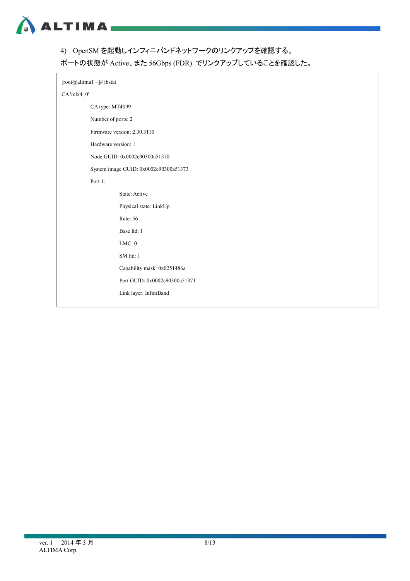

4) OpenSM を起動しインフィニバンドネットワークのリンクアップを確認する。

ポートの状態が Active、また 56Gbps (FDR) でリンクアップしていることを確認した。

|            | [root@altima1 ~]# ibstat              |  |  |  |  |  |  |  |
|------------|---------------------------------------|--|--|--|--|--|--|--|
| CA'mlx4_0' |                                       |  |  |  |  |  |  |  |
|            | CA type: MT4099                       |  |  |  |  |  |  |  |
|            | Number of ports: 2                    |  |  |  |  |  |  |  |
|            | Firmware version: 2.30.3110           |  |  |  |  |  |  |  |
|            | Hardware version: 1                   |  |  |  |  |  |  |  |
|            | Node GUID: 0x0002c90300a51370         |  |  |  |  |  |  |  |
|            | System image GUID: 0x0002c90300a51373 |  |  |  |  |  |  |  |
|            | Port 1:                               |  |  |  |  |  |  |  |
|            | State: Active                         |  |  |  |  |  |  |  |
|            | Physical state: LinkUp                |  |  |  |  |  |  |  |
|            | Rate: 56                              |  |  |  |  |  |  |  |
|            | Base lid: 1                           |  |  |  |  |  |  |  |
|            | $LMC:0$                               |  |  |  |  |  |  |  |
|            | SM lid: 1                             |  |  |  |  |  |  |  |
|            | Capability mask: 0x0251486a           |  |  |  |  |  |  |  |
|            | Port GUID: 0x0002c90300a51371         |  |  |  |  |  |  |  |
|            | Link layer: InfiniBand                |  |  |  |  |  |  |  |
|            |                                       |  |  |  |  |  |  |  |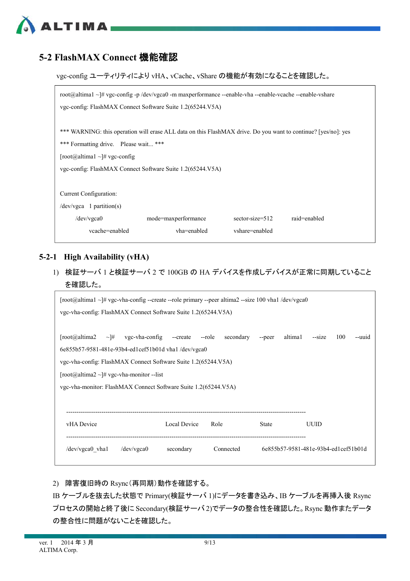# **5-2 FlashMAX Connect** 機能確認

**ALTIMA** 

vgc-config ユーティリティにより vHA、vCache、vShare の機能が有効になることを確認した。

| root@altima1 ~ # ygc-config -p /dev/ygca0 -m maxperformance --enable-vha --enable-vcache --enable-vshare |                                                                                                                |                |  |  |  |  |
|----------------------------------------------------------------------------------------------------------|----------------------------------------------------------------------------------------------------------------|----------------|--|--|--|--|
| vgc-config: FlashMAX Connect Software Suite 1.2(65244.V5A)                                               |                                                                                                                |                |  |  |  |  |
|                                                                                                          |                                                                                                                |                |  |  |  |  |
|                                                                                                          | *** WARNING: this operation will erase ALL data on this FlashMAX drive. Do you want to continue? [yes/no]: yes |                |  |  |  |  |
| *** Formatting drive. Please wait ***                                                                    |                                                                                                                |                |  |  |  |  |
| $\lceil \text{root}(a)$ altima $1 \sim \lceil \# \text{vec-config} \rceil$                               |                                                                                                                |                |  |  |  |  |
| vgc-config: FlashMAX Connect Software Suite 1.2(65244.V5A)                                               |                                                                                                                |                |  |  |  |  |
|                                                                                                          |                                                                                                                |                |  |  |  |  |
| Current Configuration:                                                                                   |                                                                                                                |                |  |  |  |  |
| $/$ dev $/$ vgca 1 partition(s)                                                                          |                                                                                                                |                |  |  |  |  |
| $/$ dev $/$ vgca $0$                                                                                     | raid=enabled<br>mode=maxperformance<br>$sector-size=512$                                                       |                |  |  |  |  |
| vcache=enabled                                                                                           | vha=enabled                                                                                                    | vshare=enabled |  |  |  |  |

#### **5-2-1 High Availability (vHA)**

1) 検証サーバ 1 と検証サーバ 2 で 100GB の HA デバイスを作成しデバイスが正常に同期していること を確認した。

| $\lceil \text{root}(a) \cdot a \rceil + \sqrt{\frac{a}{a}} \cdot a \rceil$ vgc-vha-config --create --role primary --peer altima 2-size 100 vha $\sqrt{\frac{a}{a}}$ |           |                     |        |         |                                      |     |        |
|---------------------------------------------------------------------------------------------------------------------------------------------------------------------|-----------|---------------------|--------|---------|--------------------------------------|-----|--------|
| vgc-vha-config: FlashMAX Connect Software Suite 1.2(65244.V5A)                                                                                                      |           |                     |        |         |                                      |     |        |
|                                                                                                                                                                     |           |                     |        |         |                                      |     |        |
| [root@altime2]<br>vgc-vha-config --create<br>$\sim$ $\mid \neq$                                                                                                     |           | secondary<br>--role | --peer | altima1 | $-size$                              | 100 | --uuid |
| 6e855b57-9581-481e-93b4-ed1cef51b01d vha1/dev/vgca0                                                                                                                 |           |                     |        |         |                                      |     |        |
| vgc-vha-config: FlashMAX Connect Software Suite 1.2(65244.V5A)                                                                                                      |           |                     |        |         |                                      |     |        |
| $\lceil \text{root}(a)$ altima $2 \sim \frac{1}{4}$ vgc-vha-monitor --list                                                                                          |           |                     |        |         |                                      |     |        |
| vgc-vha-monitor: FlashMAX Connect Software Suite 1.2(65244.V5A)                                                                                                     |           |                     |        |         |                                      |     |        |
|                                                                                                                                                                     |           |                     |        |         |                                      |     |        |
|                                                                                                                                                                     |           |                     |        |         |                                      |     |        |
| vHA Device<br>Local Device<br><b>UUID</b><br>Role<br><b>State</b>                                                                                                   |           |                     |        |         |                                      |     |        |
|                                                                                                                                                                     |           |                     |        |         |                                      |     |        |
| $dev/vgea0$ vhal<br>$/$ dev $/$ vgca $0$                                                                                                                            | secondary | Connected           |        |         | 6e855b57-9581-481e-93b4-ed1cef51b01d |     |        |
|                                                                                                                                                                     |           |                     |        |         |                                      |     |        |

#### 2) 障害復旧時の Rsync(再同期)動作を確認する。

IB ケーブルを抜去した状態で Primary(検証サーバ 1)にデータを書き込み、IB ケーブルを再挿入後 Rsync プロセスの開始と終了後に Secondary(検証サーバ 2)でデータの整合性を確認した。Rsync 動作またデータ の整合性に問題がないことを確認した。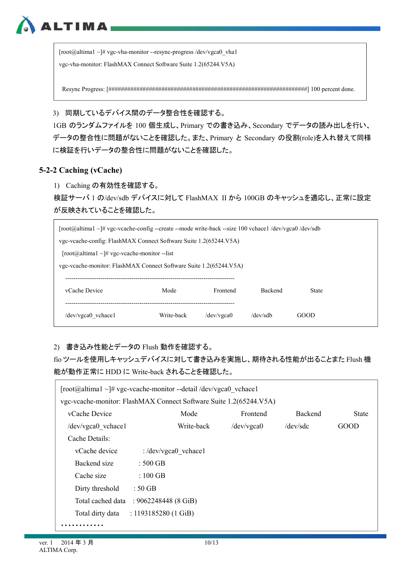$[root@altima1 \sim ]\# vgc- vha-monitor --response-process /dev/vgea0$  vha1 vgc-vha-monitor: FlashMAX Connect Software Suite 1.2(65244.V5A)

Resync Progress: [################################################################] 100 percent done.

3) 同期しているデバイス間のデータ整合性を確認する。

1GB のランダムファイルを 100 個生成し、Primary での書き込み、Secondary でデータの読み出しを行い、 データの整合性に問題がないことを確認した。また、Primary と Secondary の役割(role)を入れ替えて同様 に検証を行いデータの整合性に問題がないことを確認した。

#### **5-2-2 Caching (vCache)**

**ALTIMA** 

1) Caching の有効性を確認する。

検証サーバ 1 の/dev/sdb デバイスに対して FlashMAX II から 100GB のキャッシュを適応し、正常に設定 が反映されていることを確認した。

| $\lceil \text{root}(a) \cdot a \rceil \rceil$ vgc-vcache-config --create --mode write-back --size 100 vchace /dev/vgca0 /dev/sdb |                                                                               |  |  |  |  |  |  |
|----------------------------------------------------------------------------------------------------------------------------------|-------------------------------------------------------------------------------|--|--|--|--|--|--|
| vgc-vcache-config: FlashMAX Connect Software Suite 1.2(65244.V5A)                                                                |                                                                               |  |  |  |  |  |  |
|                                                                                                                                  | $\lceil \text{root}(a)$ altima $1 \sim \frac{1}{2}$ vgc-veache-monitor --list |  |  |  |  |  |  |
| vgc-vcache-monitor: FlashMAX Connect Software Suite 1.2(65244.V5A)                                                               |                                                                               |  |  |  |  |  |  |
|                                                                                                                                  |                                                                               |  |  |  |  |  |  |
| vCache Device<br>Mode<br><b>Backend</b><br>Frontend<br><b>State</b>                                                              |                                                                               |  |  |  |  |  |  |
|                                                                                                                                  |                                                                               |  |  |  |  |  |  |
| $/$ dev $/$ vgca $0$ vchace1<br>Write-back<br>$/$ dev $/$ sdb<br>GOOD<br>$/$ dev $/$ vgca $0$                                    |                                                                               |  |  |  |  |  |  |
|                                                                                                                                  |                                                                               |  |  |  |  |  |  |

### 2) 書き込み性能とデータの Flush 動作を確認する。

fio ツールを使用しキャッシュデバイスに対して書き込みを実施し、期待される性能が出ることまた Flush 機 能が動作正常に HDD に Write-back されることを確認した。

| $\lceil \text{root}(a) \cdot a \rceil$ = $\frac{1}{2}$ vgc-veache-monitor --detail /dev/vgca0 vchace1 |                               |            |            |                |              |
|-------------------------------------------------------------------------------------------------------|-------------------------------|------------|------------|----------------|--------------|
| vgc-vcache-monitor: FlashMAX Connect Software Suite 1.2(65244.V5A)                                    |                               |            |            |                |              |
| vCache Device                                                                                         |                               | Mode       | Frontend   | <b>Backend</b> | <b>State</b> |
| /dev/vgca0 vchace1                                                                                    |                               | Write-back | /dev/vgca0 | /dev/sdc       | GOOD         |
| Cache Details:                                                                                        |                               |            |            |                |              |
| vCache device                                                                                         | : $/dev/vgea0$ vchace1        |            |            |                |              |
| Backend size                                                                                          | $\pm 500$ GB                  |            |            |                |              |
| Cache size                                                                                            | : $100$ GB                    |            |            |                |              |
| Dirty threshold                                                                                       | $\pm 50~\mathrm{GB}$          |            |            |                |              |
| Total cached data                                                                                     | : $9062248448$ (8 GiB)        |            |            |                |              |
| Total dirty data                                                                                      | : $1193185280(1 \text{ GiB})$ |            |            |                |              |
|                                                                                                       |                               |            |            |                |              |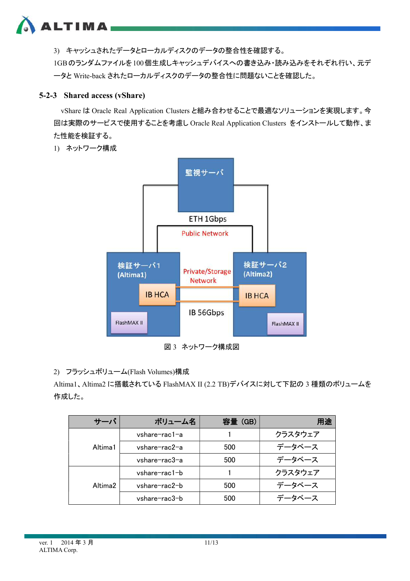

3) キャッシュされたデータとローカルディスクのデータの整合性を確認する。 1GBのランダムファイルを100個生成しキャッシュデバイスへの書き込み・読み込みをそれぞれ行い、元デ ータと Write-back されたローカルディスクのデータの整合性に問題ないことを確認した。

### **5-2-3 Shared access (vShare)**

vShare は Oracle Real Application Clusters と組み合わせることで最適なソリューションを実現します。今 回は実際のサービスで使用することを考慮し Oracle Real Application Clusters をインストールして動作、ま た性能を検証する。

1) ネットワーク構成



図 3 ネットワーク構成図

2) フラッシュボリューム(Flash Volumes)構成

Altima1、Altima2 に搭載されている FlashMAX II (2.2 TB)デバイスに対して下記の 3 種類のボリュームを 作成した。

| サーバ     | ボリューム名        | 容量(GB) | 用途      |
|---------|---------------|--------|---------|
|         | vshare-rac1-a |        | クラスタウェア |
| Altima1 | vshare-rac2-a | 500    | データベース  |
|         | vshare-rac3-a | 500    | データベース  |
|         | vshare-rac1-b |        | クラスタウェア |
| Altima2 | vshare-rac2-b | 500    | データベース  |
|         | vshare-rac3-b | 500    | データベース  |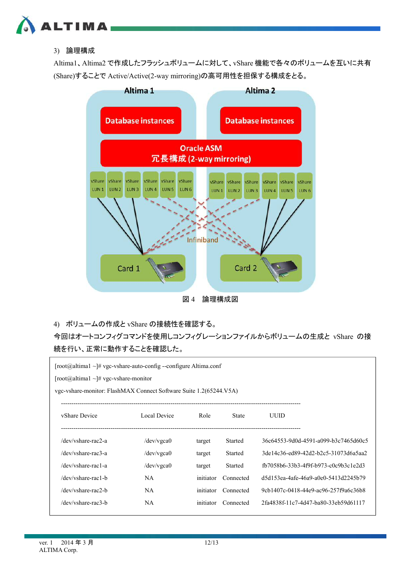

### 3) 論理構成

Altima1、Altima2 で作成したフラッシュボリュームに対して、vShare 機能で各々のボリュームを互いに共有 (Share)することで Active/Active(2-way mirroring)の高可用性を担保する構成をとる。



図 4 論理構成図

4) ボリュームの作成と vShare の接続性を確認する。

今回はオートコンフィグコマンドを使用しコンフィグレーションファイルからボリュームの生成と vShare の接 続を行い、正常に動作することを確認した。

| [root@altima1 ~]# vgc-vshare-auto-config --configure Altima.conf<br>[root@altima1 ~]# vgc-vshare-monitor<br>vgc-vshare-monitor: FlashMAX Connect Software Suite 1.2(65244.V5A) |                      |           |                |                                      |  |  |  |
|--------------------------------------------------------------------------------------------------------------------------------------------------------------------------------|----------------------|-----------|----------------|--------------------------------------|--|--|--|
| vShare Device                                                                                                                                                                  | Local Device         | Role      | <b>State</b>   | UUID                                 |  |  |  |
| /dev/yshare-rac2-a                                                                                                                                                             | $/$ dev $/$ vgca $0$ | target    | Started        | 36c64553-9d0d-4591-a099-b3c7465d60c5 |  |  |  |
| /dev/vshare-rac3-a                                                                                                                                                             | $/$ dev $/$ vgca $0$ | target    | Started        | 3de14c36-ed89-42d2-b2c5-31073d6a5aa2 |  |  |  |
| /dev/vshare-rac1-a                                                                                                                                                             | $/$ dev $/$ vgca $0$ | target    | <b>Started</b> | fb7058b6-33b3-4f9f-b973-c0c9b3c1e2d3 |  |  |  |
| /dev/vshare-rac1-b                                                                                                                                                             | <b>NA</b>            | initiator | Connected      | d5d153ea-4afe-46a9-a0e0-5413d2245b79 |  |  |  |
| /dev/vshare-rac2-b                                                                                                                                                             | <b>NA</b>            | initiator | Connected      | 9cb1407c-0418-44e9-ac96-257f9a6c36b8 |  |  |  |
| /dev/vshare-rac3-b                                                                                                                                                             | NA                   | initiator | Connected      | 2fa4838f-11c7-4d47-ba80-33eb59d61117 |  |  |  |